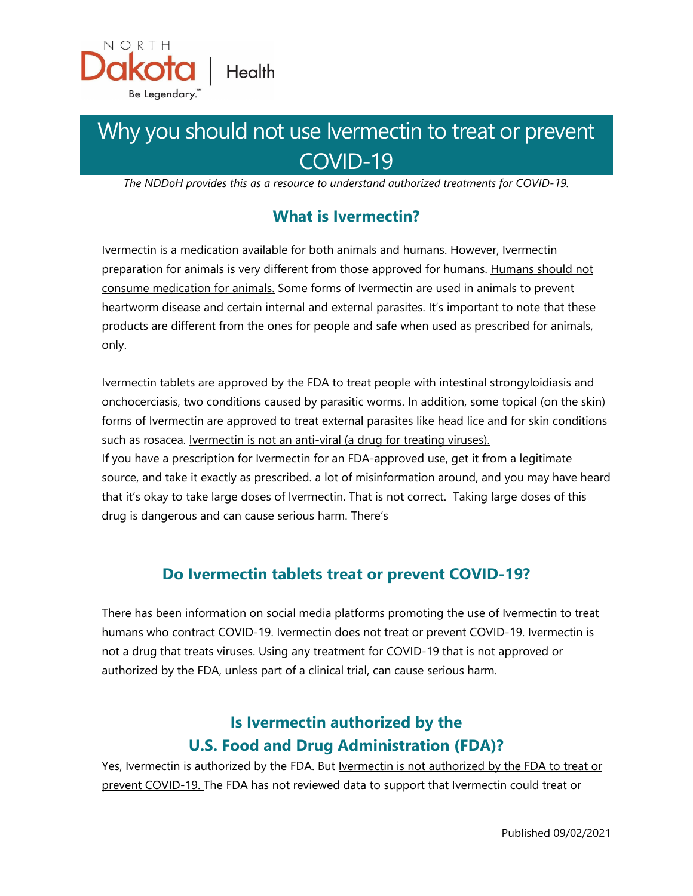

# Why you should not use Ivermectin to treat or prevent COVID-19

*The NDDoH provides this as a resource to understand authorized treatments for COVID-19.*

## **What is Ivermectin?**

Ivermectin is a medication available for both animals and humans. However, Ivermectin preparation for animals is very different from those approved for humans. Humans should not consume medication for animals. Some forms of Ivermectin are used in animals to prevent heartworm disease and certain internal and external parasites. It's important to note that these products are different from the ones for people and safe when used as prescribed for animals, only.

Ivermectin tablets are approved by the FDA to treat people with intestinal strongyloidiasis and onchocerciasis, two conditions caused by parasitic worms. In addition, some topical (on the skin) forms of Ivermectin are approved to treat external parasites like head lice and for skin conditions such as rosacea. *Ivermectin is not an anti-viral (a drug for treating viruses)*. If you have a prescription for Ivermectin for an FDA-approved use, get it from a legitimate

source, and take it exactly as prescribed. a lot of misinformation around, and you may have heard that it's okay to take large doses of Ivermectin. That is not correct. Taking large doses of this drug is dangerous and can cause serious harm. There's

## **Do Ivermectin tablets treat or prevent COVID-19?**

There has been information on social media platforms promoting the use of Ivermectin to treat humans who contract COVID-19. Ivermectin does not treat or prevent COVID-19. Ivermectin is not a drug that treats viruses. Using any treatment for COVID-19 that is not approved or authorized by the FDA, unless part of a clinical trial, can cause serious harm.

# **Is Ivermectin authorized by the U.S. Food and Drug Administration (FDA)?**

Yes, Ivermectin is authorized by the FDA. But Ivermectin is not authorized by the FDA to treat or prevent COVID-19. The FDA has not reviewed data to support that Ivermectin could treat or